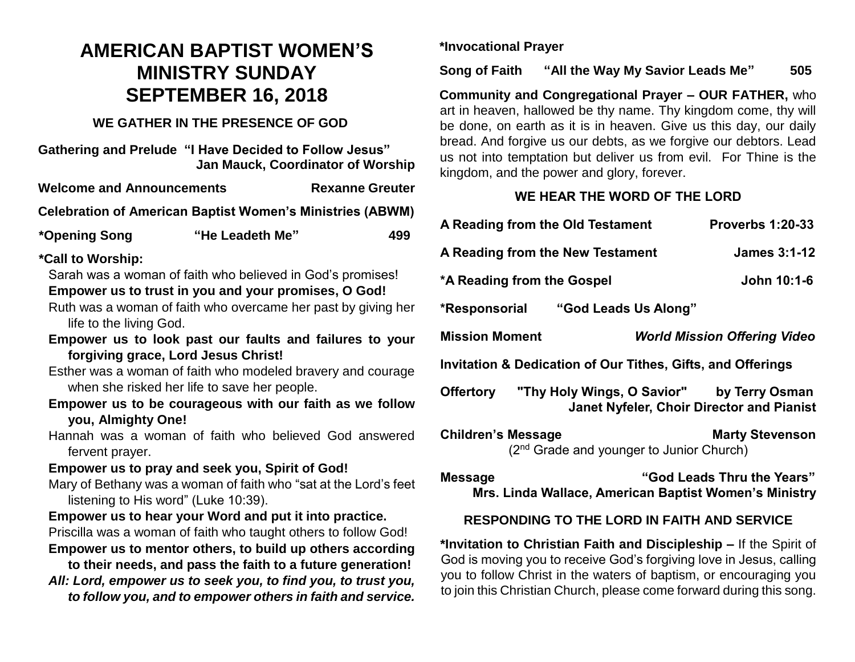# **AMERICAN BAPTIST WOMEN'S MINISTRY SUNDAY SEPTEMBER 16, 2018**

## **WE GATHER IN THE PRESENCE OF GOD**

**Gathering and Prelude "I Have Decided to Follow Jesus" Jan Mauck, Coordinator of Worship**

**Welcome and Announcements The Rexanne Greuter** 

**Celebration of American Baptist Women's Ministries (ABWM)**

| *Opening Song | "He Leadeth Me" | 499 |
|---------------|-----------------|-----|
|---------------|-----------------|-----|

#### **\*Call to Worship:**

Sarah was a woman of faith who believed in God's promises!

## **Empower us to trust in you and your promises, O God!**

- Ruth was a woman of faith who overcame her past by giving her life to the living God.
- **Empower us to look past our faults and failures to your forgiving grace, Lord Jesus Christ!**
- Esther was a woman of faith who modeled bravery and courage when she risked her life to save her people.
- **Empower us to be courageous with our faith as we follow you, Almighty One!**
- Hannah was a woman of faith who believed God answered fervent prayer.

### **Empower us to pray and seek you, Spirit of God!**

Mary of Bethany was a woman of faith who "sat at the Lord's feet listening to His word" (Luke 10:39).

### **Empower us to hear your Word and put it into practice.**

- Priscilla was a woman of faith who taught others to follow God!
- **Empower us to mentor others, to build up others according to their needs, and pass the faith to a future generation!**
- *All: Lord, empower us to seek you, to find you, to trust you, to follow you, and to empower others in faith and service.*

**\*Invocational Prayer**

**Song of Faith "All the Way My Savior Leads Me" 505**

**Community and Congregational Prayer – OUR FATHER,** who art in heaven, hallowed be thy name. Thy kingdom come, thy will be done, on earth as it is in heaven. Give us this day, our daily bread. And forgive us our debts, as we forgive our debtors. Lead us not into temptation but deliver us from evil. For Thine is the kingdom, and the power and glory, forever.

# **WE HEAR THE WORD OF THE LORD**

| A Reading from the Old Testament                            |                                                      | <b>Proverbs 1:20-33</b> |  |
|-------------------------------------------------------------|------------------------------------------------------|-------------------------|--|
| <b>James 3:1-12</b><br>A Reading from the New Testament     |                                                      |                         |  |
| *A Reading from the Gospel                                  |                                                      | John 10:1-6             |  |
| *Responsorial "God Leads Us Along"                          |                                                      |                         |  |
| <b>Mission Moment</b>                                       | <b>World Mission Offering Video</b>                  |                         |  |
| Invitation & Dedication of Our Tithes, Gifts, and Offerings |                                                      |                         |  |
| Offertory "Thy Holy Wings, O Savior" by Terry Osman         | <b>Janet Nyfeler, Choir Director and Pianist</b>     |                         |  |
| <b>Children's Message</b>                                   | (2 <sup>nd</sup> Grade and younger to Junior Church) | <b>Marty Stevenson</b>  |  |
|                                                             |                                                      |                         |  |

**Message "God Leads Thru the Years" Mrs. Linda Wallace, American Baptist Women's Ministry**

# **RESPONDING TO THE LORD IN FAITH AND SERVICE**

**\*Invitation to Christian Faith and Discipleship –** If the Spirit of God is moving you to receive God's forgiving love in Jesus, calling you to follow Christ in the waters of baptism, or encouraging you to join this Christian Church, please come forward during this song.